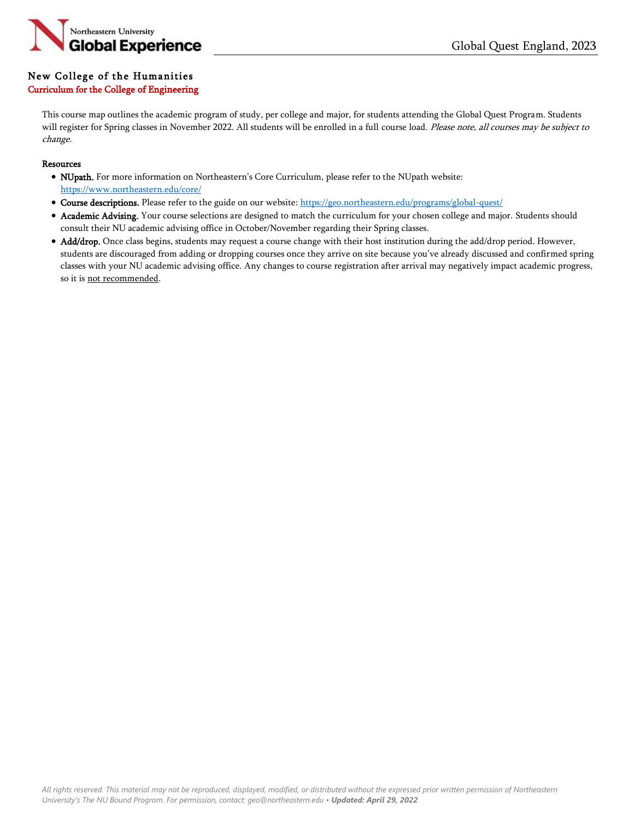

## New College of the Humanities

## Curriculum for the College of Engineering

This course map outlines the academic program of study, per college and major, for students attending the Global Quest Program. Students will register for Spring classes in November 2022. All students will be enrolled in a full course load. Please note, all courses may be subject to change.

## Resources

- NUpath. For more information on Northeastern's Core Curriculum, please refer to the NUpath website: <https://www.northeastern.edu/core/>
- Course descriptions. Please refer to the guide on our website: <https://geo.northeastern.edu/programs/global-quest/>
- Academic Advising. Your course selections are designed to match the curriculum for your chosen college and major. Students should consult their NU academic advising office in October/November regarding their Spring classes.
- Add/drop. Once class begins, students may request a course change with their host institution during the add/drop period. However, students are discouraged from adding or dropping courses once they arrive on site because you've already discussed and confirmed spring classes with your NU academic advising office. Any changes to course registration after arrival may negatively impact academic progress, so it is not recommended.